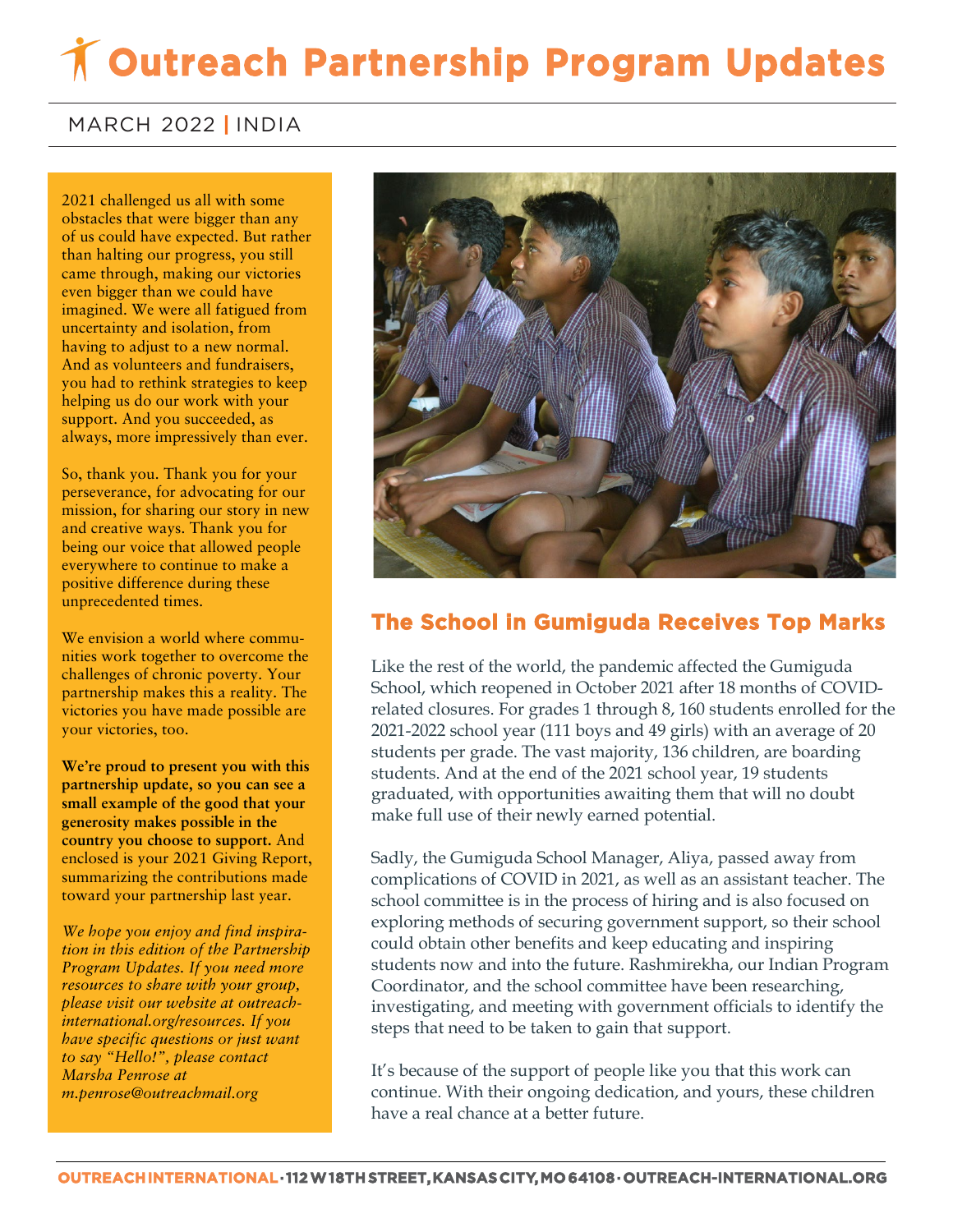# **Outreach Partnership Program Updates**

### MARCH 2022 **|** INDIA

 of us could have expected. But rather **came through, making our victories** 2021 challenged us all with some obstacles that were bigger than any than halting our progress, you still even bigger than we could have imagined. We were all fatigued from uncertainty and isolation, from having to adjust to a new normal. And as volunteers and fundraisers, you had to rethink strategies to keep helping us do our work with your support. And you succeeded, as always, more impressively than ever.

So, thank you. Thank you for your perseverance, for advocating for our mission, for sharing our story in new and creative ways. Thank you for being our voice that allowed people everywhere to continue to make a positive difference during these unprecedented times.

We envision a world where communities work together to overcome the challenges of chronic poverty. Your partnership makes this a reality. The victories you have made possible are your victories, too.

**We're proud to present you with this partnership update, so you can see a small example of the good that your generosity makes possible in the country you choose to support.** And enclosed is your 2021 Giving Report, summarizing the contributions made toward your partnership last year.

*We hope you enjoy and find inspiration in this edition of the Partnership Program Updates. If you need more resources to share with your group, please visit our website at outreachinternational.org/resources. If you have specific questions or just want to say "Hello!", please contact Marsha Penrose at m.penrose@outreachmail.org*



## **The School in Gumiguda Receives Top Marks**

Like the rest of the world, the pandemic affected the Gumiguda School, which reopened in October 2021 after 18 months of COVIDrelated closures. For grades 1 through 8, 160 students enrolled for the 2021-2022 school year (111 boys and 49 girls) with an average of 20 students per grade. The vast majority, 136 children, are boarding students. And at the end of the 2021 school year, 19 students graduated, with opportunities awaiting them that will no doubt make full use of their newly earned potential.

Sadly, the Gumiguda School Manager, Aliya, passed away from complications of COVID in 2021, as well as an assistant teacher. The school committee is in the process of hiring and is also focused on exploring methods of securing government support, so their school could obtain other benefits and keep educating and inspiring students now and into the future. Rashmirekha, our Indian Program Coordinator, and the school committee have been researching, investigating, and meeting with government officials to identify the steps that need to be taken to gain that support.

It's because of the support of people like you that this work can continue. With their ongoing dedication, and yours, these children have a real chance at a better future.